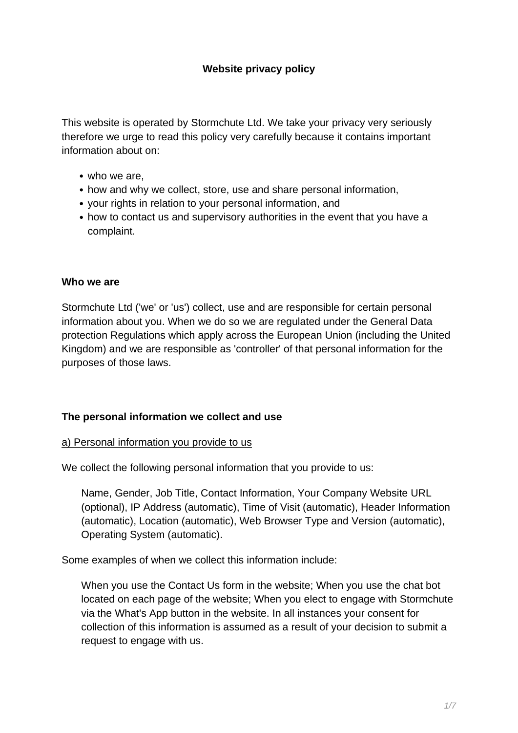# **Website privacy policy**

This website is operated by Stormchute Ltd. We take your privacy very seriously therefore we urge to read this policy very carefully because it contains important information about on:

- who we are.
- how and why we collect, store, use and share personal information,
- your rights in relation to your personal information, and
- how to contact us and supervisory authorities in the event that you have a complaint.

#### **Who we are**

Stormchute Ltd ('we' or 'us') collect, use and are responsible for certain personal information about you. When we do so we are regulated under the General Data protection Regulations which apply across the European Union (including the United Kingdom) and we are responsible as 'controller' of that personal information for the purposes of those laws.

#### **The personal information we collect and use**

#### a) Personal information you provide to us

We collect the following personal information that you provide to us:

Name, Gender, Job Title, Contact Information, Your Company Website URL (optional), IP Address (automatic), Time of Visit (automatic), Header Information (automatic), Location (automatic), Web Browser Type and Version (automatic), Operating System (automatic).

Some examples of when we collect this information include:

When you use the Contact Us form in the website; When you use the chat bot located on each page of the website; When you elect to engage with Stormchute via the What's App button in the website. In all instances your consent for collection of this information is assumed as a result of your decision to submit a request to engage with us.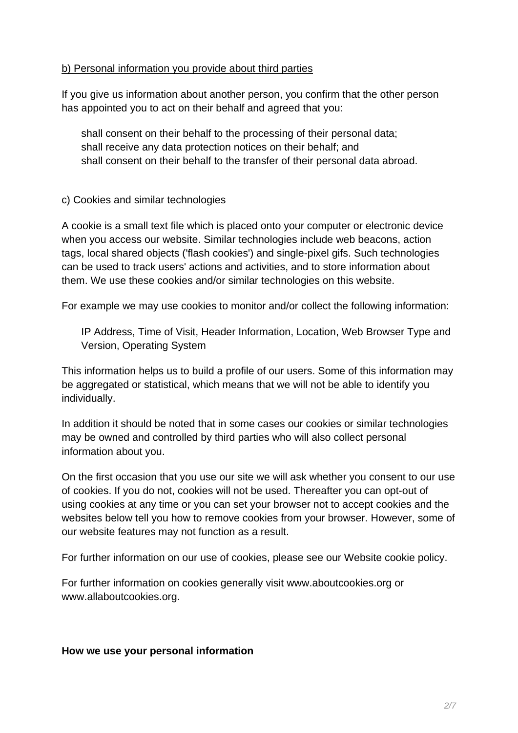## b) Personal information you provide about third parties

If you give us information about another person, you confirm that the other person has appointed you to act on their behalf and agreed that you:

shall consent on their behalf to the processing of their personal data; shall receive any data protection notices on their behalf; and shall consent on their behalf to the transfer of their personal data abroad.

## c) Cookies and similar technologies

A cookie is a small text file which is placed onto your computer or electronic device when you access our website. Similar technologies include web beacons, action tags, local shared objects ('flash cookies') and single-pixel gifs. Such technologies can be used to track users' actions and activities, and to store information about them. We use these cookies and/or similar technologies on this website.

For example we may use cookies to monitor and/or collect the following information:

IP Address, Time of Visit, Header Information, Location, Web Browser Type and Version, Operating System

This information helps us to build a profile of our users. Some of this information may be aggregated or statistical, which means that we will not be able to identify you individually.

In addition it should be noted that in some cases our cookies or similar technologies may be owned and controlled by third parties who will also collect personal information about you.

On the first occasion that you use our site we will ask whether you consent to our use of cookies. If you do not, cookies will not be used. Thereafter you can opt-out of using cookies at any time or you can set your browser not to accept cookies and the websites below tell you how to remove cookies from your browser. However, some of our website features may not function as a result.

For further information on our use of cookies, please see our Website cookie policy.

For further information on cookies generally visit www.aboutcookies.org or www.allaboutcookies.org.

#### **How we use your personal information**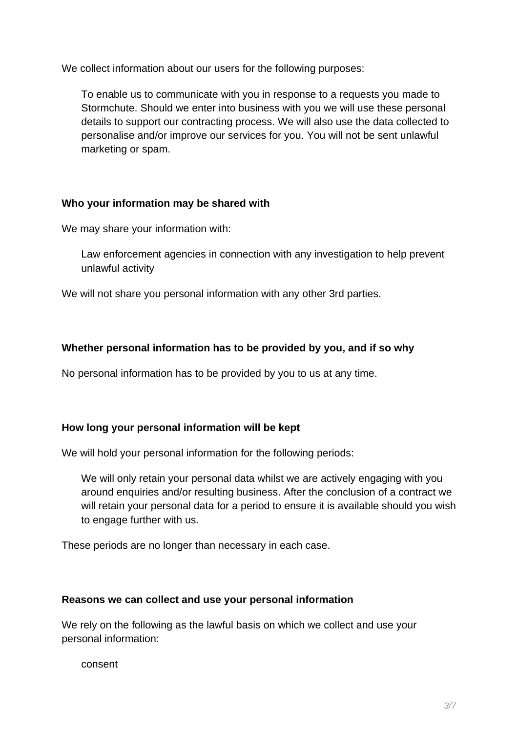We collect information about our users for the following purposes:

To enable us to communicate with you in response to a requests you made to Stormchute. Should we enter into business with you we will use these personal details to support our contracting process. We will also use the data collected to personalise and/or improve our services for you. You will not be sent unlawful marketing or spam.

## **Who your information may be shared with**

We may share your information with:

Law enforcement agencies in connection with any investigation to help prevent unlawful activity

We will not share you personal information with any other 3rd parties.

# **Whether personal information has to be provided by you, and if so why**

No personal information has to be provided by you to us at any time.

# **How long your personal information will be kept**

We will hold your personal information for the following periods:

We will only retain your personal data whilst we are actively engaging with you around enquiries and/or resulting business. After the conclusion of a contract we will retain your personal data for a period to ensure it is available should you wish to engage further with us.

These periods are no longer than necessary in each case.

#### **Reasons we can collect and use your personal information**

We rely on the following as the lawful basis on which we collect and use your personal information:

consent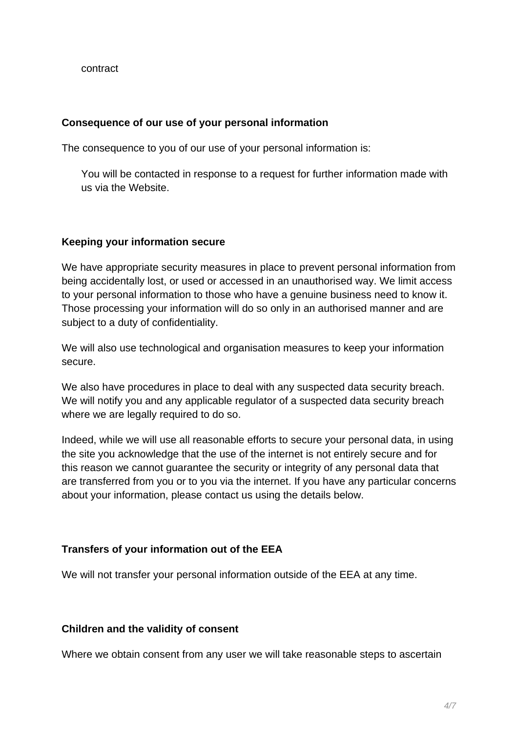contract

#### **Consequence of our use of your personal information**

The consequence to you of our use of your personal information is:

You will be contacted in response to a request for further information made with us via the Website.

#### **Keeping your information secure**

We have appropriate security measures in place to prevent personal information from being accidentally lost, or used or accessed in an unauthorised way. We limit access to your personal information to those who have a genuine business need to know it. Those processing your information will do so only in an authorised manner and are subject to a duty of confidentiality.

We will also use technological and organisation measures to keep your information secure.

We also have procedures in place to deal with any suspected data security breach. We will notify you and any applicable regulator of a suspected data security breach where we are legally required to do so.

Indeed, while we will use all reasonable efforts to secure your personal data, in using the site you acknowledge that the use of the internet is not entirely secure and for this reason we cannot guarantee the security or integrity of any personal data that are transferred from you or to you via the internet. If you have any particular concerns about your information, please contact us using the details below.

#### **Transfers of your information out of the EEA**

We will not transfer your personal information outside of the EEA at any time.

#### **Children and the validity of consent**

Where we obtain consent from any user we will take reasonable steps to ascertain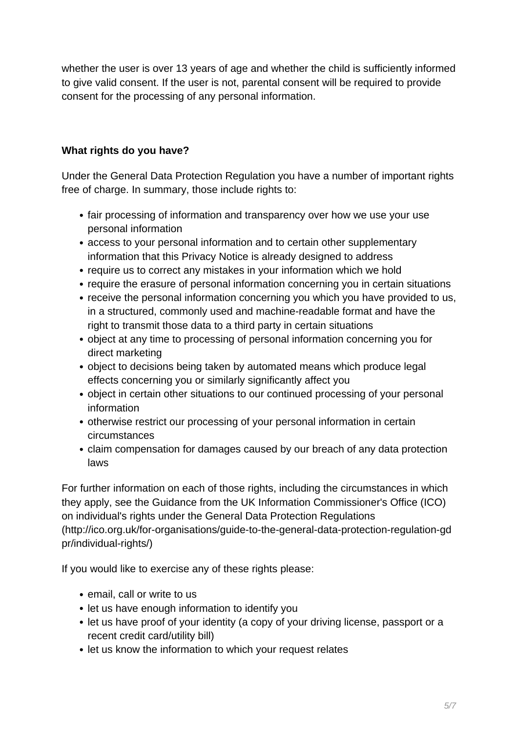whether the user is over 13 years of age and whether the child is sufficiently informed to give valid consent. If the user is not, parental consent will be required to provide consent for the processing of any personal information.

# **What rights do you have?**

Under the General Data Protection Regulation you have a number of important rights free of charge. In summary, those include rights to:

- fair processing of information and transparency over how we use your use personal information
- access to your personal information and to certain other supplementary information that this Privacy Notice is already designed to address
- require us to correct any mistakes in your information which we hold
- require the erasure of personal information concerning you in certain situations
- receive the personal information concerning you which you have provided to us, in a structured, commonly used and machine-readable format and have the right to transmit those data to a third party in certain situations
- object at any time to processing of personal information concerning you for direct marketing
- object to decisions being taken by automated means which produce legal effects concerning you or similarly significantly affect you
- object in certain other situations to our continued processing of your personal information
- otherwise restrict our processing of your personal information in certain circumstances
- claim compensation for damages caused by our breach of any data protection laws

For further information on each of those rights, including the circumstances in which they apply, see the Guidance from the UK Information Commissioner's Office (ICO) on individual's rights under the General Data Protection Regulations (http://ico.org.uk/for-organisations/guide-to-the-general-data-protection-regulation-gd pr/individual-rights/)

If you would like to exercise any of these rights please:

- email, call or write to us
- let us have enough information to identify you
- let us have proof of your identity (a copy of your driving license, passport or a recent credit card/utility bill)
- let us know the information to which your request relates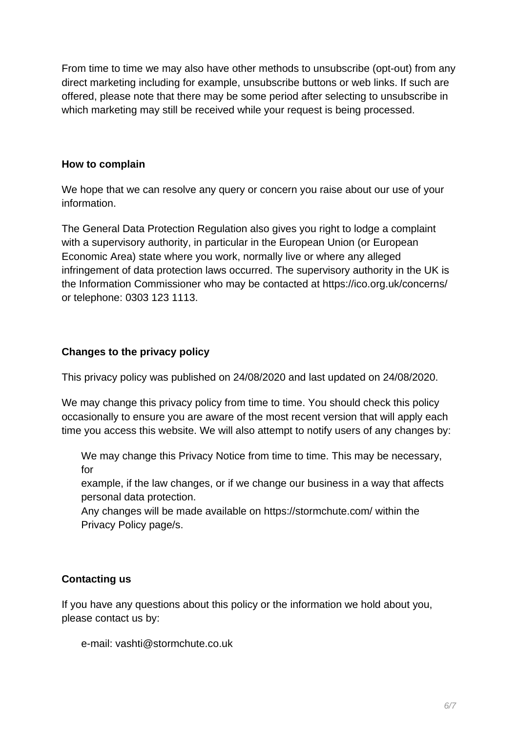From time to time we may also have other methods to unsubscribe (opt-out) from any direct marketing including for example, unsubscribe buttons or web links. If such are offered, please note that there may be some period after selecting to unsubscribe in which marketing may still be received while your request is being processed.

## **How to complain**

We hope that we can resolve any query or concern you raise about our use of your information.

The General Data Protection Regulation also gives you right to lodge a complaint with a supervisory authority, in particular in the European Union (or European Economic Area) state where you work, normally live or where any alleged infringement of data protection laws occurred. The supervisory authority in the UK is the Information Commissioner who may be contacted at https://ico.org.uk/concerns/ or telephone: 0303 123 1113.

# **Changes to the privacy policy**

This privacy policy was published on 24/08/2020 and last updated on 24/08/2020.

We may change this privacy policy from time to time. You should check this policy occasionally to ensure you are aware of the most recent version that will apply each time you access this website. We will also attempt to notify users of any changes by:

We may change this Privacy Notice from time to time. This may be necessary, for

example, if the law changes, or if we change our business in a way that affects personal data protection.

Any changes will be made available on https://stormchute.com/ within the Privacy Policy page/s.

# **Contacting us**

If you have any questions about this policy or the information we hold about you, please contact us by:

e-mail: vashti@stormchute.co.uk